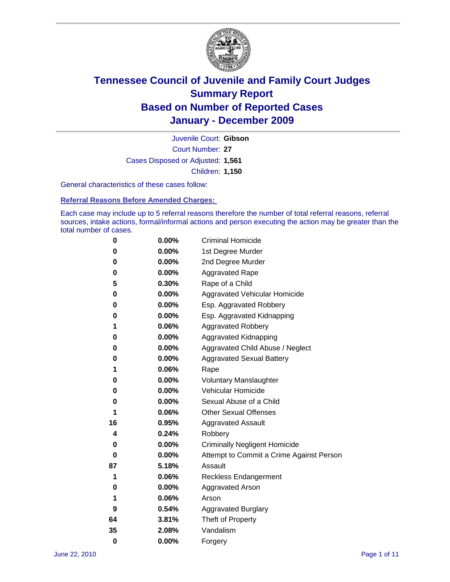

Court Number: **27** Juvenile Court: **Gibson** Cases Disposed or Adjusted: **1,561** Children: **1,150**

General characteristics of these cases follow:

**Referral Reasons Before Amended Charges:** 

Each case may include up to 5 referral reasons therefore the number of total referral reasons, referral sources, intake actions, formal/informal actions and person executing the action may be greater than the total number of cases.

| 0  | 0.00%    | <b>Criminal Homicide</b>                 |  |  |  |
|----|----------|------------------------------------------|--|--|--|
| 0  | 0.00%    | 1st Degree Murder                        |  |  |  |
| 0  | 0.00%    | 2nd Degree Murder                        |  |  |  |
| 0  | 0.00%    | <b>Aggravated Rape</b>                   |  |  |  |
| 5  | 0.30%    | Rape of a Child                          |  |  |  |
| 0  | 0.00%    | Aggravated Vehicular Homicide            |  |  |  |
| 0  | 0.00%    | Esp. Aggravated Robbery                  |  |  |  |
| 0  | 0.00%    | Esp. Aggravated Kidnapping               |  |  |  |
| 1  | 0.06%    | <b>Aggravated Robbery</b>                |  |  |  |
| 0  | 0.00%    | Aggravated Kidnapping                    |  |  |  |
| 0  | 0.00%    | Aggravated Child Abuse / Neglect         |  |  |  |
| 0  | $0.00\%$ | <b>Aggravated Sexual Battery</b>         |  |  |  |
| 1  | 0.06%    | Rape                                     |  |  |  |
| 0  | $0.00\%$ | <b>Voluntary Manslaughter</b>            |  |  |  |
| 0  | 0.00%    | Vehicular Homicide                       |  |  |  |
| 0  | 0.00%    | Sexual Abuse of a Child                  |  |  |  |
| 1  | 0.06%    | <b>Other Sexual Offenses</b>             |  |  |  |
| 16 | 0.95%    | <b>Aggravated Assault</b>                |  |  |  |
| 4  | 0.24%    | Robbery                                  |  |  |  |
| 0  | 0.00%    | <b>Criminally Negligent Homicide</b>     |  |  |  |
| 0  | 0.00%    | Attempt to Commit a Crime Against Person |  |  |  |
| 87 | 5.18%    | Assault                                  |  |  |  |
| 1  | 0.06%    | <b>Reckless Endangerment</b>             |  |  |  |
| 0  | 0.00%    | <b>Aggravated Arson</b>                  |  |  |  |
| 1  | 0.06%    | Arson                                    |  |  |  |
| 9  | 0.54%    | <b>Aggravated Burglary</b>               |  |  |  |
| 64 | 3.81%    | Theft of Property                        |  |  |  |
| 35 | 2.08%    | Vandalism                                |  |  |  |
| 0  | 0.00%    | Forgery                                  |  |  |  |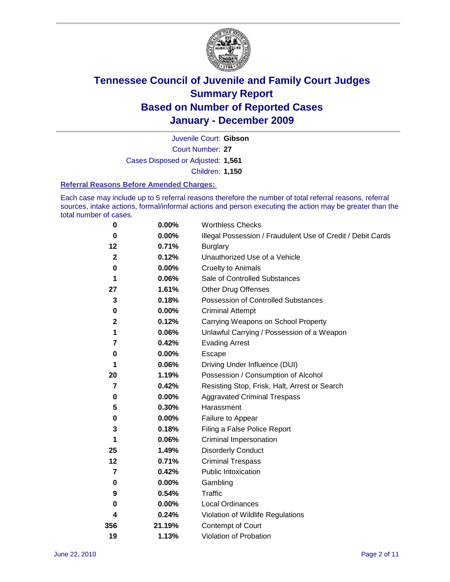

Court Number: **27** Juvenile Court: **Gibson** Cases Disposed or Adjusted: **1,561** Children: **1,150**

#### **Referral Reasons Before Amended Charges:**

Each case may include up to 5 referral reasons therefore the number of total referral reasons, referral sources, intake actions, formal/informal actions and person executing the action may be greater than the total number of cases.

| $\pmb{0}$      | 0.00%    | <b>Worthless Checks</b>                                     |
|----------------|----------|-------------------------------------------------------------|
| 0              | 0.00%    | Illegal Possession / Fraudulent Use of Credit / Debit Cards |
| 12             | 0.71%    | <b>Burglary</b>                                             |
| $\mathbf{2}$   | 0.12%    | Unauthorized Use of a Vehicle                               |
| $\pmb{0}$      | $0.00\%$ | <b>Cruelty to Animals</b>                                   |
| 1              | 0.06%    | Sale of Controlled Substances                               |
| 27             | 1.61%    | <b>Other Drug Offenses</b>                                  |
| 3              | 0.18%    | Possession of Controlled Substances                         |
| 0              | $0.00\%$ | <b>Criminal Attempt</b>                                     |
| $\mathbf 2$    | 0.12%    | Carrying Weapons on School Property                         |
| 1              | 0.06%    | Unlawful Carrying / Possession of a Weapon                  |
| 7              | 0.42%    | <b>Evading Arrest</b>                                       |
| 0              | 0.00%    | Escape                                                      |
| 1              | 0.06%    | Driving Under Influence (DUI)                               |
| 20             | 1.19%    | Possession / Consumption of Alcohol                         |
| 7              | 0.42%    | Resisting Stop, Frisk, Halt, Arrest or Search               |
| 0              | $0.00\%$ | <b>Aggravated Criminal Trespass</b>                         |
| 5              | 0.30%    | Harassment                                                  |
| $\pmb{0}$      | 0.00%    | Failure to Appear                                           |
| 3              | 0.18%    | Filing a False Police Report                                |
| 1              | 0.06%    | Criminal Impersonation                                      |
| 25             | 1.49%    | <b>Disorderly Conduct</b>                                   |
| 12             | 0.71%    | <b>Criminal Trespass</b>                                    |
| $\overline{7}$ | 0.42%    | Public Intoxication                                         |
| 0              | $0.00\%$ | Gambling                                                    |
| 9              | 0.54%    | <b>Traffic</b>                                              |
| 0              | $0.00\%$ | Local Ordinances                                            |
| 4              | 0.24%    | Violation of Wildlife Regulations                           |
| 356            | 21.19%   | Contempt of Court                                           |
| 19             | 1.13%    | Violation of Probation                                      |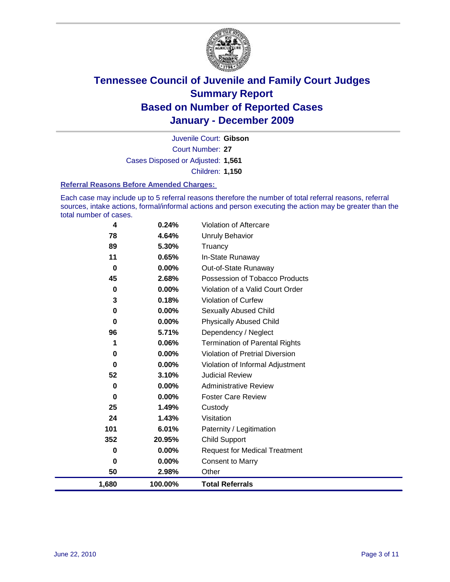

Court Number: **27** Juvenile Court: **Gibson** Cases Disposed or Adjusted: **1,561** Children: **1,150**

#### **Referral Reasons Before Amended Charges:**

Each case may include up to 5 referral reasons therefore the number of total referral reasons, referral sources, intake actions, formal/informal actions and person executing the action may be greater than the total number of cases.

| 4           | 0.24%    | Violation of Aftercare                 |
|-------------|----------|----------------------------------------|
| 78          | 4.64%    | Unruly Behavior                        |
| 89          | 5.30%    | Truancy                                |
| 11          | 0.65%    | In-State Runaway                       |
| $\bf{0}$    | 0.00%    | Out-of-State Runaway                   |
| 45          | 2.68%    | Possession of Tobacco Products         |
| 0           | $0.00\%$ | Violation of a Valid Court Order       |
| 3           | 0.18%    | Violation of Curfew                    |
| $\bf{0}$    | $0.00\%$ | Sexually Abused Child                  |
| 0           | $0.00\%$ | <b>Physically Abused Child</b>         |
| 96          | 5.71%    | Dependency / Neglect                   |
| 1           | 0.06%    | <b>Termination of Parental Rights</b>  |
| $\bf{0}$    | 0.00%    | <b>Violation of Pretrial Diversion</b> |
| 0           | 0.00%    | Violation of Informal Adjustment       |
| 52          | 3.10%    | <b>Judicial Review</b>                 |
| 0           | 0.00%    | <b>Administrative Review</b>           |
| 0           | 0.00%    | <b>Foster Care Review</b>              |
| 25          | 1.49%    | Custody                                |
| 24          | 1.43%    | Visitation                             |
| 101         | 6.01%    | Paternity / Legitimation               |
| 352         | 20.95%   | <b>Child Support</b>                   |
| $\mathbf 0$ | 0.00%    | <b>Request for Medical Treatment</b>   |
| $\bf{0}$    | 0.00%    | <b>Consent to Marry</b>                |
| 50          | 2.98%    | Other                                  |
| 1,680       | 100.00%  | <b>Total Referrals</b>                 |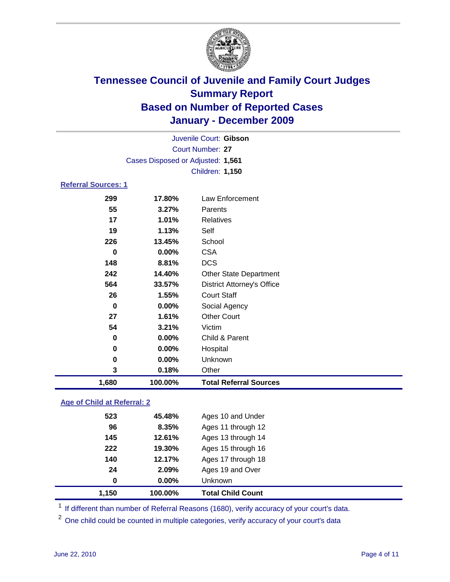

| 1,680                      | 100.00%                           | <b>Total Referral Sources</b>     |  |  |
|----------------------------|-----------------------------------|-----------------------------------|--|--|
| 3                          | 0.18%                             | Other                             |  |  |
| $\bf{0}$                   | 0.00%                             | Unknown                           |  |  |
| 0                          | 0.00%                             | Hospital                          |  |  |
| $\bf{0}$                   | 0.00%                             | Child & Parent                    |  |  |
| 54                         | 3.21%                             | Victim                            |  |  |
| 27                         | 1.61%                             | <b>Other Court</b>                |  |  |
| $\bf{0}$                   | $0.00\%$                          | Social Agency                     |  |  |
| 26                         | 1.55%                             | <b>Court Staff</b>                |  |  |
| 564                        | 33.57%                            | <b>District Attorney's Office</b> |  |  |
| 242                        | 14.40%                            | Other State Department            |  |  |
| 148                        | 8.81%                             | <b>DCS</b>                        |  |  |
| $\bf{0}$                   | 0.00%                             | <b>CSA</b>                        |  |  |
| 226                        | 13.45%                            | School                            |  |  |
| 19                         | 1.13%                             | Self                              |  |  |
| 17                         | 1.01%                             | <b>Relatives</b>                  |  |  |
| 55                         | 3.27%                             | Parents                           |  |  |
| 299                        | 17.80%                            | Law Enforcement                   |  |  |
| <b>Referral Sources: 1</b> |                                   |                                   |  |  |
|                            |                                   | Children: 1,150                   |  |  |
|                            | Cases Disposed or Adjusted: 1,561 |                                   |  |  |
| <b>Court Number: 27</b>    |                                   |                                   |  |  |
|                            | Juvenile Court: Gibson            |                                   |  |  |
|                            |                                   |                                   |  |  |

### **Age of Child at Referral: 2**

| 0   | 0.00%  | <b>Unknown</b>     |
|-----|--------|--------------------|
|     |        |                    |
| 24  | 2.09%  | Ages 19 and Over   |
| 140 | 12.17% | Ages 17 through 18 |
| 222 | 19.30% | Ages 15 through 16 |
| 145 | 12.61% | Ages 13 through 14 |
| 96  | 8.35%  | Ages 11 through 12 |
| 523 | 45.48% | Ages 10 and Under  |
|     |        |                    |

<sup>1</sup> If different than number of Referral Reasons (1680), verify accuracy of your court's data.

<sup>2</sup> One child could be counted in multiple categories, verify accuracy of your court's data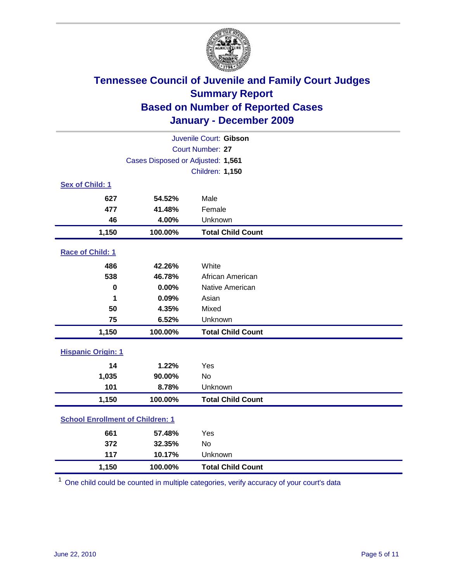

| Juvenile Court: Gibson                  |                                   |                          |  |  |  |
|-----------------------------------------|-----------------------------------|--------------------------|--|--|--|
|                                         | Court Number: 27                  |                          |  |  |  |
|                                         | Cases Disposed or Adjusted: 1,561 |                          |  |  |  |
|                                         |                                   | <b>Children: 1,150</b>   |  |  |  |
| Sex of Child: 1                         |                                   |                          |  |  |  |
| 627                                     | 54.52%                            | Male                     |  |  |  |
| 477                                     | 41.48%                            | Female                   |  |  |  |
| 46                                      | 4.00%                             | Unknown                  |  |  |  |
| 1,150                                   | 100.00%                           | <b>Total Child Count</b> |  |  |  |
| Race of Child: 1                        |                                   |                          |  |  |  |
| 486                                     | 42.26%                            | White                    |  |  |  |
| 538                                     | 46.78%                            | African American         |  |  |  |
| 0                                       | 0.00%                             | Native American          |  |  |  |
| 1                                       | 0.09%                             | Asian                    |  |  |  |
| 50                                      | 4.35%                             | Mixed                    |  |  |  |
| 75                                      | 6.52%                             | Unknown                  |  |  |  |
| 1,150                                   | 100.00%                           | <b>Total Child Count</b> |  |  |  |
| <b>Hispanic Origin: 1</b>               |                                   |                          |  |  |  |
| 14                                      | 1.22%                             | Yes                      |  |  |  |
| 1,035                                   | 90.00%                            | <b>No</b>                |  |  |  |
| 101                                     | 8.78%                             | Unknown                  |  |  |  |
| 1,150                                   | 100.00%                           | <b>Total Child Count</b> |  |  |  |
| <b>School Enrollment of Children: 1</b> |                                   |                          |  |  |  |
| 661                                     | 57.48%                            | Yes                      |  |  |  |
| 372                                     | 32.35%                            | No                       |  |  |  |
| 117                                     | 10.17%                            | Unknown                  |  |  |  |
| 1,150                                   | 100.00%                           | <b>Total Child Count</b> |  |  |  |

<sup>1</sup> One child could be counted in multiple categories, verify accuracy of your court's data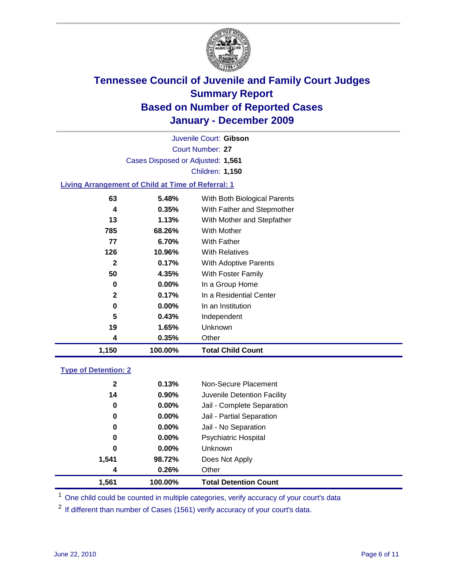

Court Number: **27** Juvenile Court: **Gibson** Cases Disposed or Adjusted: **1,561** Children: **1,150**

### **Living Arrangement of Child at Time of Referral: 1**

| 1,150        | 100.00%  | <b>Total Child Count</b>     |
|--------------|----------|------------------------------|
| 4            | 0.35%    | Other                        |
| 19           | 1.65%    | <b>Unknown</b>               |
| 5            | 0.43%    | Independent                  |
| 0            | $0.00\%$ | In an Institution            |
| $\mathbf{2}$ | 0.17%    | In a Residential Center      |
| 0            | $0.00\%$ | In a Group Home              |
| 50           | 4.35%    | With Foster Family           |
| 2            | 0.17%    | With Adoptive Parents        |
| 126          | 10.96%   | <b>With Relatives</b>        |
| 77           | 6.70%    | With Father                  |
| 785          | 68.26%   | With Mother                  |
| 13           | 1.13%    | With Mother and Stepfather   |
| 4            | 0.35%    | With Father and Stepmother   |
| 63           | 5.48%    | With Both Biological Parents |
|              |          |                              |

### **Type of Detention: 2**

| 1,561        | 100.00%  | <b>Total Detention Count</b> |  |
|--------------|----------|------------------------------|--|
| 4            | 0.26%    | Other                        |  |
| 1,541        | 98.72%   | Does Not Apply               |  |
| 0            | $0.00\%$ | Unknown                      |  |
| 0            | $0.00\%$ | Psychiatric Hospital         |  |
| 0            | 0.00%    | Jail - No Separation         |  |
| 0            | $0.00\%$ | Jail - Partial Separation    |  |
| 0            | 0.00%    | Jail - Complete Separation   |  |
| 14           | 0.90%    | Juvenile Detention Facility  |  |
| $\mathbf{2}$ | 0.13%    | Non-Secure Placement         |  |
|              |          |                              |  |

<sup>1</sup> One child could be counted in multiple categories, verify accuracy of your court's data

<sup>2</sup> If different than number of Cases (1561) verify accuracy of your court's data.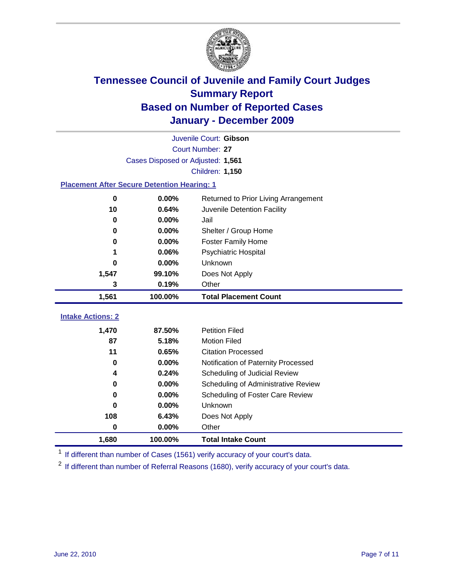

|                                                    | Juvenile Court: Gibson                        |                                     |  |  |  |
|----------------------------------------------------|-----------------------------------------------|-------------------------------------|--|--|--|
|                                                    | Court Number: 27                              |                                     |  |  |  |
|                                                    | Cases Disposed or Adjusted: 1,561             |                                     |  |  |  |
|                                                    |                                               | <b>Children: 1,150</b>              |  |  |  |
| <b>Placement After Secure Detention Hearing: 1</b> |                                               |                                     |  |  |  |
| $\bf{0}$                                           | 0.00%<br>Returned to Prior Living Arrangement |                                     |  |  |  |
| 10                                                 | 0.64%                                         | Juvenile Detention Facility         |  |  |  |
| $\bf{0}$                                           | 0.00%                                         | Jail                                |  |  |  |
| 0                                                  | 0.00%                                         | Shelter / Group Home                |  |  |  |
| 0                                                  | 0.00%                                         | Foster Family Home                  |  |  |  |
| 1                                                  | 0.06%                                         | Psychiatric Hospital                |  |  |  |
| 0                                                  | 0.00%                                         | Unknown                             |  |  |  |
| 1,547                                              | 99.10%                                        | Does Not Apply                      |  |  |  |
| 3                                                  | 0.19%                                         | Other                               |  |  |  |
| 1,561                                              | 100.00%                                       | <b>Total Placement Count</b>        |  |  |  |
| <b>Intake Actions: 2</b>                           |                                               |                                     |  |  |  |
| 1,470                                              | 87.50%                                        | <b>Petition Filed</b>               |  |  |  |
| 87                                                 | 5.18%                                         | <b>Motion Filed</b>                 |  |  |  |
| 11                                                 | 0.65%                                         | <b>Citation Processed</b>           |  |  |  |
| 0                                                  | 0.00%                                         | Notification of Paternity Processed |  |  |  |
| 4                                                  | 0.24%                                         | Scheduling of Judicial Review       |  |  |  |
| 0                                                  | 0.00%                                         | Scheduling of Administrative Review |  |  |  |
| 0                                                  | 0.00%                                         | Scheduling of Foster Care Review    |  |  |  |
| 0                                                  | 0.00%                                         | Unknown                             |  |  |  |
| 108                                                | 6.43%                                         | Does Not Apply                      |  |  |  |
| $\bf{0}$                                           | 0.00%                                         | Other                               |  |  |  |
| 1,680                                              | 100.00%                                       | <b>Total Intake Count</b>           |  |  |  |

<sup>1</sup> If different than number of Cases (1561) verify accuracy of your court's data.

<sup>2</sup> If different than number of Referral Reasons (1680), verify accuracy of your court's data.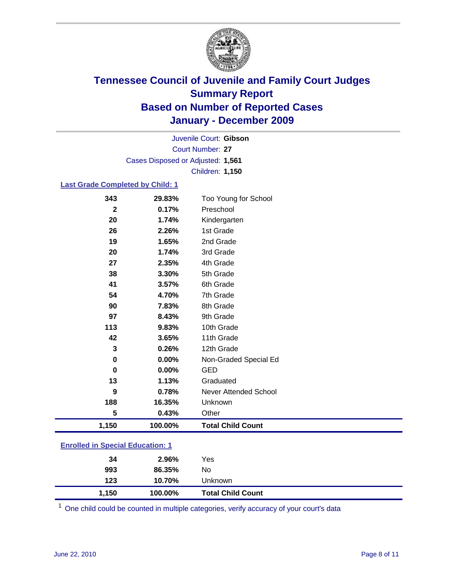

Court Number: **27** Juvenile Court: **Gibson** Cases Disposed or Adjusted: **1,561** Children: **1,150**

#### **Last Grade Completed by Child: 1**

| 1,150       | 100.00%        | <b>Total Child Count</b>     |
|-------------|----------------|------------------------------|
| 5           | 0.43%          | Other                        |
| 188         | 16.35%         | Unknown                      |
| 9           | 0.78%          | <b>Never Attended School</b> |
| 13          | 1.13%          | Graduated                    |
| $\mathbf 0$ | 0.00%          | <b>GED</b>                   |
| $\mathbf 0$ | 0.00%          | Non-Graded Special Ed        |
| 3           | 0.26%          | 12th Grade                   |
| 42          | 3.65%          | 11th Grade                   |
| 113         | 9.83%          | 10th Grade                   |
| 97          | 8.43%          | 9th Grade                    |
| 90          | 7.83%          | 8th Grade                    |
| 54          | 4.70%          | 7th Grade                    |
| 41          | 3.57%          | 6th Grade                    |
| 38          | 3.30%          | 5th Grade                    |
| 27          | 2.35%          | 4th Grade                    |
| 20          | 1.74%          | 3rd Grade                    |
| 26<br>19    | 2.26%<br>1.65% | 1st Grade<br>2nd Grade       |
| 20          | 1.74%          | Kindergarten                 |
| $\mathbf 2$ | 0.17%          | Preschool                    |
| 343         | 29.83%         | Too Young for School         |

| 1,150                                   | 100.00% | <b>Total Child Count</b> |  |  |
|-----------------------------------------|---------|--------------------------|--|--|
| 123                                     | 10.70%  | Unknown                  |  |  |
| 993                                     | 86.35%  | No                       |  |  |
| 34                                      | 2.96%   | Yes                      |  |  |
| <b>Enrolled in Special Education: 1</b> |         |                          |  |  |

One child could be counted in multiple categories, verify accuracy of your court's data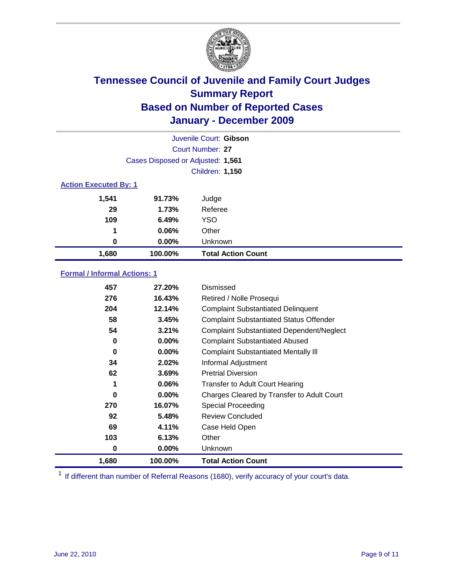

| Juvenile Court: Gibson       |                                   |                           |  |  |
|------------------------------|-----------------------------------|---------------------------|--|--|
|                              | Court Number: 27                  |                           |  |  |
|                              | Cases Disposed or Adjusted: 1,561 |                           |  |  |
|                              | <b>Children: 1,150</b>            |                           |  |  |
| <b>Action Executed By: 1</b> |                                   |                           |  |  |
| 1,541                        | 91.73%                            | Judge                     |  |  |
| 29                           | 1.73%                             | Referee                   |  |  |
| 109                          | 6.49%                             | <b>YSO</b>                |  |  |
| 1                            | 0.06%                             | Other                     |  |  |
| 0                            | 0.00%                             | Unknown                   |  |  |
| 1,680                        | 100.00%                           | <b>Total Action Count</b> |  |  |

### **Formal / Informal Actions: 1**

| 457   | 27.20%   | Dismissed                                        |
|-------|----------|--------------------------------------------------|
| 276   | 16.43%   | Retired / Nolle Prosequi                         |
| 204   | 12.14%   | <b>Complaint Substantiated Delinquent</b>        |
| 58    | 3.45%    | <b>Complaint Substantiated Status Offender</b>   |
| 54    | 3.21%    | <b>Complaint Substantiated Dependent/Neglect</b> |
| 0     | $0.00\%$ | <b>Complaint Substantiated Abused</b>            |
| 0     | $0.00\%$ | <b>Complaint Substantiated Mentally III</b>      |
| 34    | 2.02%    | Informal Adjustment                              |
| 62    | 3.69%    | <b>Pretrial Diversion</b>                        |
| 1     | $0.06\%$ | <b>Transfer to Adult Court Hearing</b>           |
| 0     | $0.00\%$ | Charges Cleared by Transfer to Adult Court       |
| 270   | 16.07%   | <b>Special Proceeding</b>                        |
| 92    | 5.48%    | <b>Review Concluded</b>                          |
| 69    | 4.11%    | Case Held Open                                   |
| 103   | 6.13%    | Other                                            |
| 0     | 0.00%    | <b>Unknown</b>                                   |
| 1,680 | 100.00%  | <b>Total Action Count</b>                        |

<sup>1</sup> If different than number of Referral Reasons (1680), verify accuracy of your court's data.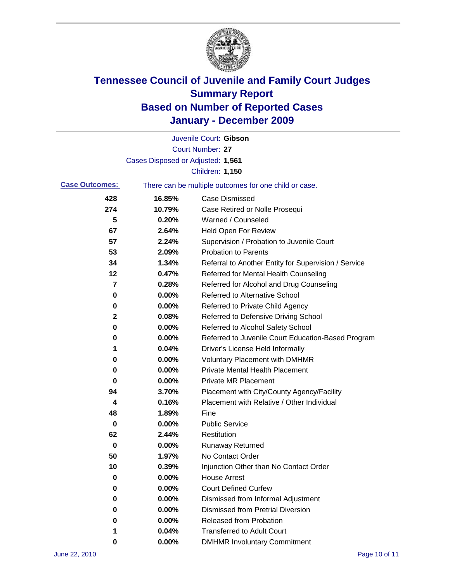

|                       |                                   | Juvenile Court: Gibson                                |
|-----------------------|-----------------------------------|-------------------------------------------------------|
|                       |                                   | Court Number: 27                                      |
|                       | Cases Disposed or Adjusted: 1,561 |                                                       |
|                       |                                   | Children: 1,150                                       |
| <b>Case Outcomes:</b> |                                   | There can be multiple outcomes for one child or case. |
| 428                   | 16.85%                            | <b>Case Dismissed</b>                                 |
| 274                   | 10.79%                            | Case Retired or Nolle Prosequi                        |
| 5                     | 0.20%                             | Warned / Counseled                                    |
| 67                    | 2.64%                             | <b>Held Open For Review</b>                           |
| 57                    | 2.24%                             | Supervision / Probation to Juvenile Court             |
| 53                    | 2.09%                             | <b>Probation to Parents</b>                           |
| 34                    | 1.34%                             | Referral to Another Entity for Supervision / Service  |
| 12                    | 0.47%                             | Referred for Mental Health Counseling                 |
| 7                     | 0.28%                             | Referred for Alcohol and Drug Counseling              |
| 0                     | 0.00%                             | <b>Referred to Alternative School</b>                 |
| 0                     | 0.00%                             | Referred to Private Child Agency                      |
| 2                     | 0.08%                             | Referred to Defensive Driving School                  |
| 0                     | 0.00%                             | Referred to Alcohol Safety School                     |
| 0                     | 0.00%                             | Referred to Juvenile Court Education-Based Program    |
| 1                     | 0.04%                             | Driver's License Held Informally                      |
| 0                     | 0.00%                             | <b>Voluntary Placement with DMHMR</b>                 |
| 0                     | 0.00%                             | <b>Private Mental Health Placement</b>                |
| 0                     | 0.00%                             | <b>Private MR Placement</b>                           |
| 94                    | 3.70%                             | Placement with City/County Agency/Facility            |
| 4                     | 0.16%                             | Placement with Relative / Other Individual            |
| 48                    | 1.89%                             | Fine                                                  |
| 0                     | 0.00%                             | <b>Public Service</b>                                 |
| 62                    | 2.44%                             | Restitution                                           |
| 0                     | 0.00%                             | <b>Runaway Returned</b>                               |
| 50                    | 1.97%                             | No Contact Order                                      |
| 10                    | 0.39%                             | Injunction Other than No Contact Order                |
| 0                     | 0.00%                             | <b>House Arrest</b>                                   |
| 0                     | 0.00%                             | <b>Court Defined Curfew</b>                           |
| 0                     | 0.00%                             | Dismissed from Informal Adjustment                    |
| 0                     | 0.00%                             | <b>Dismissed from Pretrial Diversion</b>              |
| 0                     | 0.00%                             | Released from Probation                               |
| 1                     | 0.04%                             | <b>Transferred to Adult Court</b>                     |
| 0                     | $0.00\%$                          | <b>DMHMR Involuntary Commitment</b>                   |